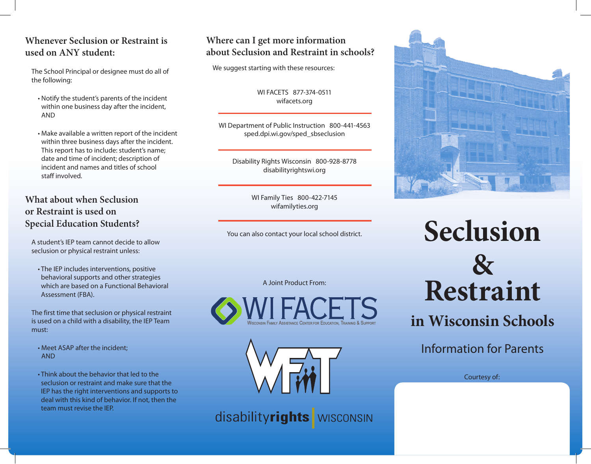# **Whenever Seclusion or Restraint is used on ANY student:**

The School Principal or designee must do all of the following:

- Notify the student's parents of the incident within one business day after the incident, AND
- Make available a written report of the incident within three business days after the incident. This report has to include: student's name; date and time of incident; description of incident and names and titles of school staff involved.

## **What about when Seclusion or Restraint is used on Special Education Students?**

A student's IEP team cannot decide to allow seclusion or physical restraint unless:

• The IEP includes interventions, positive behavioral supports and other strategies which are based on a Functional Behavioral Assessment (FBA).

The first time that seclusion or physical restraint is used on a child with a disability, the IEP Team must:

- Meet ASAP after the incident; AND
- Think about the behavior that led to the seclusion or restraint and make sure that the IEP has the right interventions and supports to deal with this kind of behavior. If not, then the team must revise the IEP.

# **Where can I get more information about Seclusion and Restraint in schools?**

We suggest starting with these resources:

WI FACETS 877-374-0511 wifacets.org

WI Department of Public Instruction 800-441-4563 sped.dpi.wi.gov/sped\_sbseclusion

Disability Rights Wisconsin 800-928-8778 disabilityrightswi.org

> WI Family Ties 800-422-7145 wifamilyties.org

You can also contact your local school district.

A Joint Product From:





disabilityrights wisconsin



**Seclusion & Restraint** 

**in Wisconsin Schools**

Information for Parents

Courtesy of: